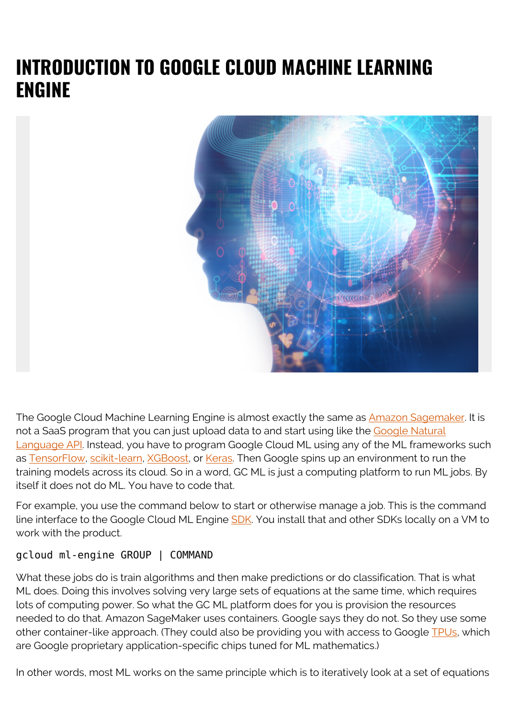## **INTRODUCTION TO GOOGLE CLOUD MACHINE LEARNING ENGINE**



The Google Cloud Machine Learning Engine is almost exactly the same as **Amazon Sagemaker**. It is not a SaaS program that you can just upload data to and start using like the [Google Natural](https://blogs.bmc.com/blogs/google-natural-language-api-and-sentiment-analysis/) [Language API](https://blogs.bmc.com/blogs/google-natural-language-api-and-sentiment-analysis/). Instead, you have to program Google Cloud ML using any of the ML frameworks such as [TensorFlow,](https://www.tensorfl.w.org/) [scikit-learn,](http://scikit-learn.org/stable/) [XGBoost,](https://github.com/dmlc/xgboost) or [Keras.](https://keras.io/) Then Google spins up an environment to run the training models across its cloud. So in a word, GC ML is just a computing platform to run ML jobs. By itself it does not do ML. You have to code that.

For example, you use the command below to start or otherwise manage a job. This is the command line interface to the Google Cloud ML Engine **SDK**. You install that and other SDKs locally on a VM to work with the product.

#### gcloud ml-engine GROUP | COMMAND

What these jobs do is train algorithms and then make predictions or do classification. That is what ML does. Doing this involves solving very large sets of equations at the same time, which requires lots of computing power. So what the GC ML platform does for you is provision the resources needed to do that. Amazon SageMaker uses containers. Google says they do not. So they use some other container-like approach. (They could also be providing you with access to Google [TPUs,](https://cloud.google.com/tpu/) which are Google proprietary application-specific chips tuned for ML mathematics.)

In other words, most ML works on the same principle which is to iteratively look at a set of equations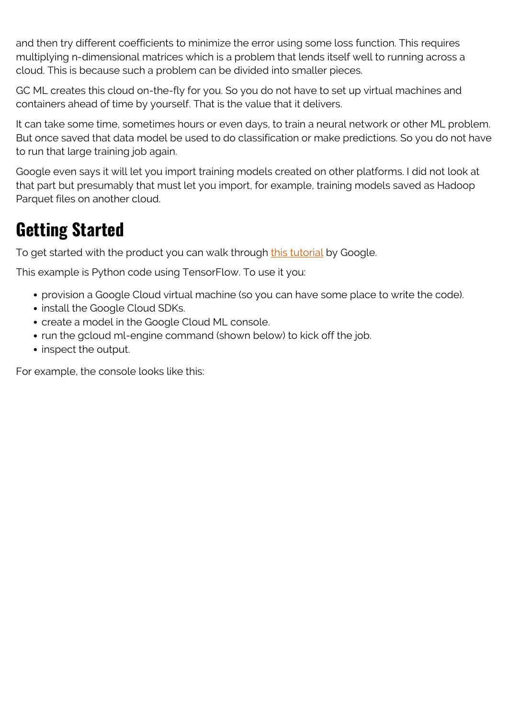and then try different coefficients to minimize the error using some loss function. This requires multiplying n-dimensional matrices which is a problem that lends itself well to running across a cloud. This is because such a problem can be divided into smaller pieces.

GC ML creates this cloud on-the-fly for you. So you do not have to set up virtual machines and containers ahead of time by yourself. That is the value that it delivers.

It can take some time, sometimes hours or even days, to train a neural network or other ML problem. But once saved that data model be used to do classification or make predictions. So you do not have to run that large training job again.

Google even says it will let you import training models created on other platforms. I did not look at that part but presumably that must let you import, for example, training models saved as Hadoop Parquet files on another cloud.

#### **Getting Started**

To get started with the product you can walk through [this tutorial](https://cloud.google.com/ml-engine/docs/tensorflow/getting-started-training-prediction) by Google.

This example is Python code using TensorFlow. To use it you:

- provision a Google Cloud virtual machine (so you can have some place to write the code).
- install the Google Cloud SDKs.
- create a model in the Google Cloud ML console.
- run the gcloud ml-engine command (shown below) to kick off the job.
- inspect the output.

For example, the console looks like this: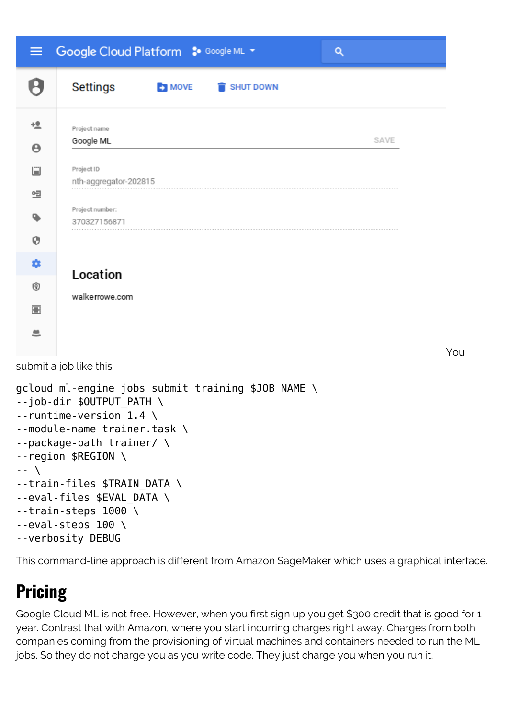| $\equiv$                           | Google Cloud Platform : Google ML +                                                                                                                                                                                                                                                                                | Q    |
|------------------------------------|--------------------------------------------------------------------------------------------------------------------------------------------------------------------------------------------------------------------------------------------------------------------------------------------------------------------|------|
|                                    | <b>Settings</b><br><b>EX MOVE</b><br>SHUT DOWN                                                                                                                                                                                                                                                                     |      |
| <u>+2</u><br>$\boldsymbol{\Theta}$ | Project name<br>Google ML                                                                                                                                                                                                                                                                                          | SAVE |
| Ü                                  | Project ID<br>nth-aggregator-202815                                                                                                                                                                                                                                                                                |      |
| 옐<br>ዔ                             | Project number:<br>370327156871                                                                                                                                                                                                                                                                                    |      |
| 0                                  |                                                                                                                                                                                                                                                                                                                    |      |
| ۰<br>0                             | Location<br>walkerrowe.com                                                                                                                                                                                                                                                                                         |      |
| 霊<br>≞                             |                                                                                                                                                                                                                                                                                                                    |      |
|                                    | submit a job like this:                                                                                                                                                                                                                                                                                            | You  |
| $-- \lambda$                       | gcloud ml-engine jobs submit training \$JOB_NAME \<br>--job-dir \$OUTPUT PATH<br>$-$ -runtime-version 1.4 \<br>--module-name trainer.task \<br>--package-path trainer/ \<br>$-$ -region \$REGION \<br>--train-files \$TRAIN_DATA \<br>--eval-files \$EVAL_DATA \<br>$-$ train-steps 1000 \<br>$-$ eval-steps 100 \ |      |

```
--verbosity DEBUG
```
This command-line approach is different from Amazon SageMaker which uses a graphical interface.

# **Pricing**

Google Cloud ML is not free. However, when you first sign up you get \$300 credit that is good for 1 year. Contrast that with Amazon, where you start incurring charges right away. Charges from both companies coming from the provisioning of virtual machines and containers needed to run the ML jobs. So they do not charge you as you write code. They just charge you when you run it.